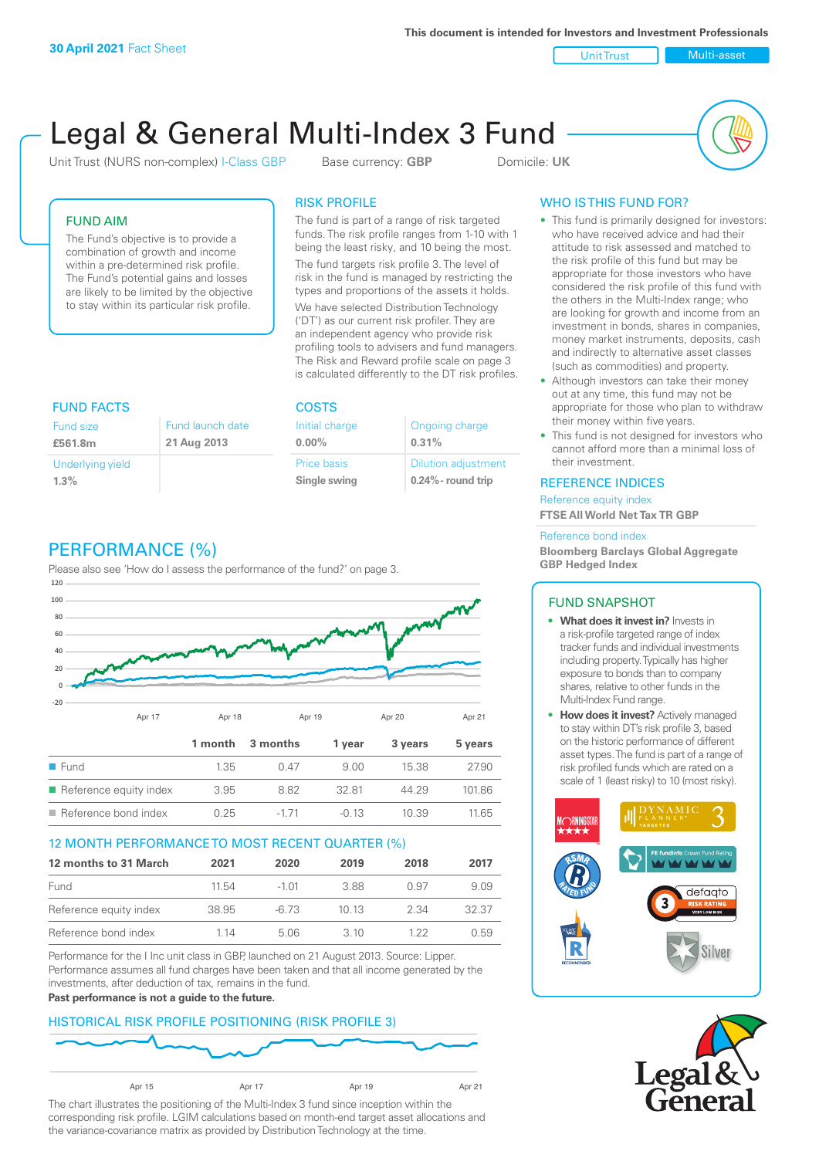**This document is intended for Investors and Investment Professionals**

Unit Trust Nulti-asset

# Legal & General Multi-Index 3 Fund

Unit Trust (NURS non-complex) I-Class GBP Base currency: **GBP** Domicile: UK



# FUND AIM

The Fund's objective is to provide a combination of growth and income within a pre-determined risk profile. The Fund's potential gains and losses are likely to be limited by the objective to stay within its particular risk profile.

# RISK PROFILE

The fund is part of a range of risk targeted funds. The risk profile ranges from 1-10 with 1 being the least risky, and 10 being the most.

The fund targets risk profile 3. The level of risk in the fund is managed by restricting the types and proportions of the assets it holds. We have selected Distribution Technology ('DT') as our current risk profiler. They are an independent agency who provide risk profiling tools to advisers and fund managers. The Risk and Reward profile scale on page 3 is calculated differently to the DT risk profiles.

| <b>FUND FACTS</b> |                  | <b>COSTS</b>   |                            |  |
|-------------------|------------------|----------------|----------------------------|--|
| Fund size         | Fund launch date | Initial charge | Ongoing charge             |  |
| £561.8m           | 21 Aug 2013      | $0.00\%$       | 0.31%                      |  |
| Underlying yield  |                  | Price basis    | <b>Dilution adjustment</b> |  |
| 1.3%              |                  | Single swing   | $0.24\%$ - round trip      |  |

# PERFORMANCE (%)

Please also see 'How do I assess the performance of the fund?' on page 3.



# 12 MONTH PERFORMANCE TO MOST RECENT QUARTER (%)

| 12 months to 31 March  | 2021  | 2020    | 2019 | 2018 | 2017  |
|------------------------|-------|---------|------|------|-------|
| Fund                   | 11.54 | $-1.01$ | 388  | 0.97 | 9.09  |
| Reference equity index | 38.95 | -6.73   | 1013 | 2.34 | 32.37 |
| Reference bond index   | 1 14  | 5.06    | 3 10 | 1 22 | 0.59  |

Performance for the I Inc unit class in GBP, launched on 21 August 2013. Source: Lipper. Performance assumes all fund charges have been taken and that all income generated by the investments, after deduction of tax, remains in the fund.

#### **Past performance is not a guide to the future.**

# HISTORICAL RISK PROFILE POSITIONING (RISK PROFILE 3)



The chart illustrates the positioning of the Multi-Index 3 fund since inception within the corresponding risk profile. LGIM calculations based on month-end target asset allocations and the variance-covariance matrix as provided by Distribution Technology at the time.

# WHO IS THIS FUND FOR?

- This fund is primarily designed for investors: who have received advice and had their attitude to risk assessed and matched to the risk profile of this fund but may be appropriate for those investors who have considered the risk profile of this fund with the others in the Multi-Index range; who are looking for growth and income from an investment in bonds, shares in companies, money market instruments, deposits, cash and indirectly to alternative asset classes (such as commodities) and property.
- Although investors can take their money out at any time, this fund may not be appropriate for those who plan to withdraw their money within five years.
- This fund is not designed for investors who cannot afford more than a minimal loss of their investment.

## REFERENCE INDICES

Reference equity index **FTSE All World Net Tax TR GBP**

#### Reference bond index

**Bloomberg Barclays Global Aggregate GBP Hedged Index**

# FUND SNAPSHOT

- **• What does it invest in?** Invests in a risk-profile targeted range of index tracker funds and individual investments including property. Typically has higher exposure to bonds than to company shares, relative to other funds in the Multi-Index Fund range.
- **• How does it invest?** Actively managed to stay within DT's risk profile 3, based on the historic performance of different asset types. The fund is part of a range of risk profiled funds which are rated on a scale of 1 (least risky) to 10 (most risky).



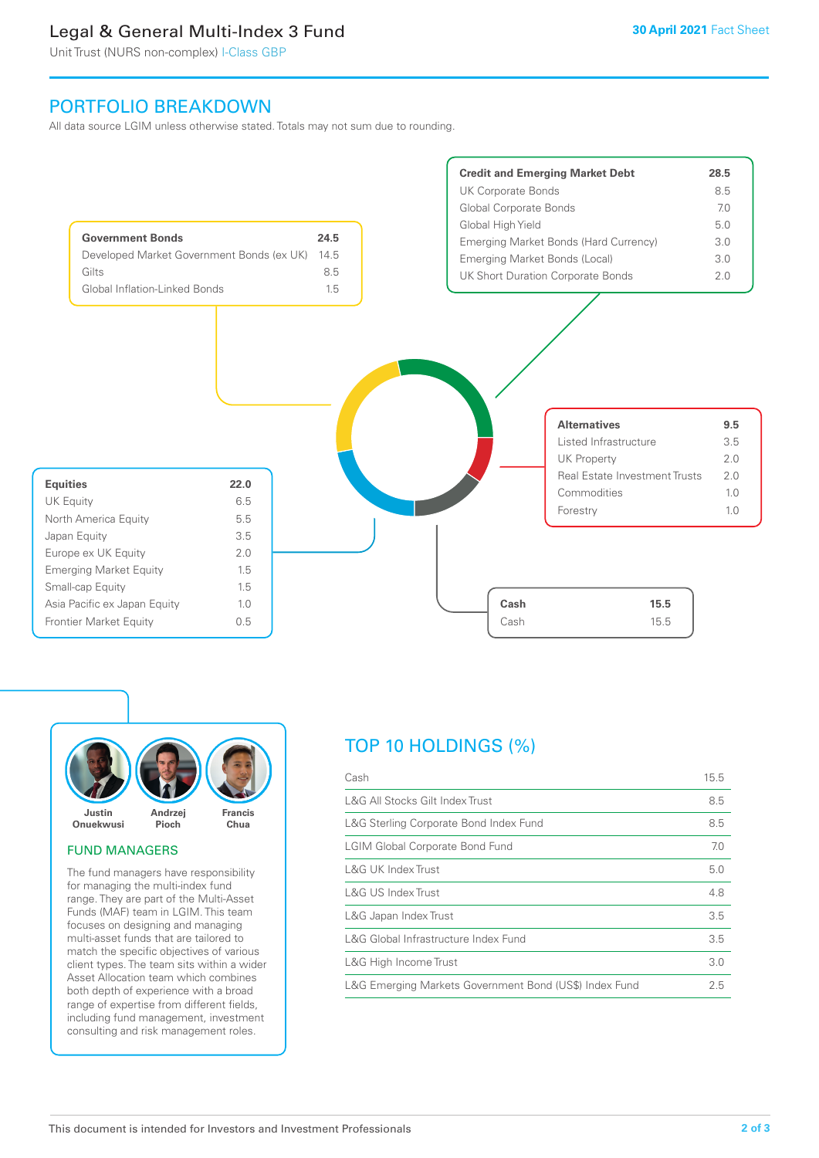# Legal & General Multi-Index 3 Fund

Unit Trust (NURS non-complex) I-Class GBP

# PORTFOLIO BREAKDOWN

All data source LGIM unless otherwise stated. Totals may not sum due to rounding.





#### FUND MANAGERS

The fund managers have responsibility for managing the multi-index fund range. They are part of the Multi-Asset Funds (MAF) team in LGIM. This team focuses on designing and managing multi-asset funds that are tailored to match the specific objectives of various client types. The team sits within a wider Asset Allocation team which combines both depth of experience with a broad range of expertise from different fields, including fund management, investment consulting and risk management roles.

# TOP 10 HOLDINGS (%)

| Cash                                                   | 15.5 |
|--------------------------------------------------------|------|
| L&G All Stocks Gilt Index Trust                        | 8.5  |
| L&G Sterling Corporate Bond Index Fund                 | 8.5  |
| <b>LGIM Global Corporate Bond Fund</b>                 | 7.0  |
| L&G UK Index Trust                                     | 5.0  |
| L&G US Index Trust                                     | 4.8  |
| L&G Japan Index Trust                                  | 3.5  |
| L&G Global Infrastructure Index Fund                   | 3.5  |
| L&G High Income Trust                                  | 3.0  |
| L&G Emerging Markets Government Bond (US\$) Index Fund | 2.5  |